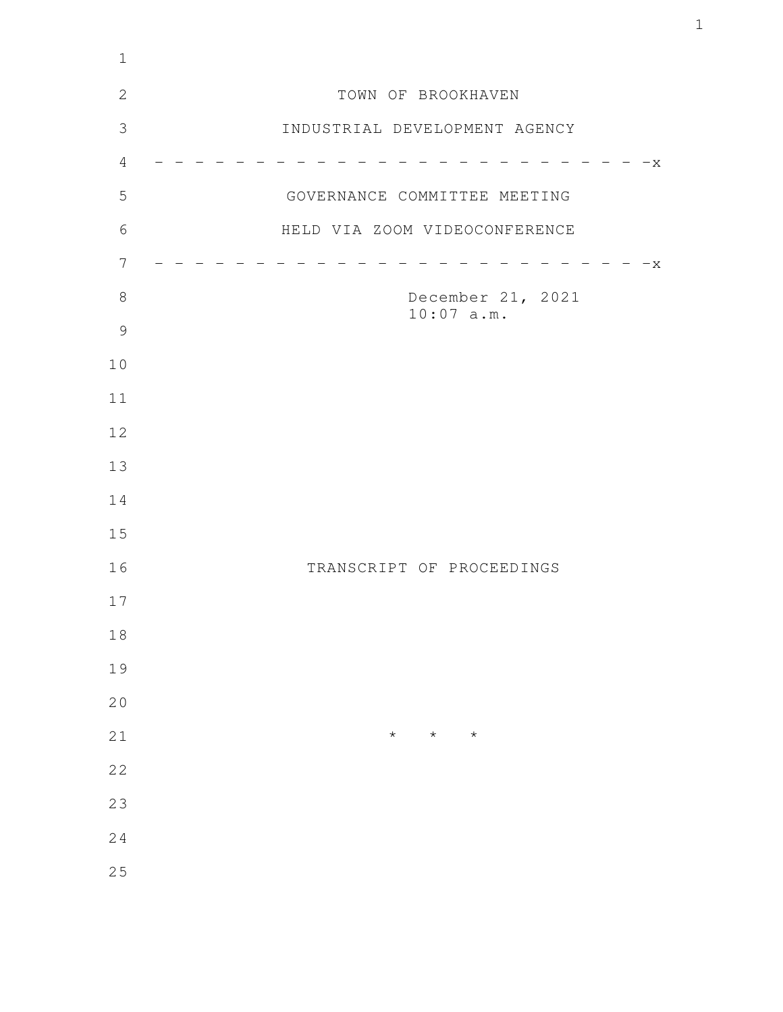| TOWN OF BROOKHAVEN            |
|-------------------------------|
| INDUSTRIAL DEVELOPMENT AGENCY |
| $-x$                          |
| GOVERNANCE COMMITTEE MEETING  |
| HELD VIA ZOOM VIDEOCONFERENCE |
| $-x$                          |
| December 21, 2021             |
| $10:07$ a.m.                  |
|                               |
|                               |
|                               |
|                               |
|                               |
|                               |
| TRANSCRIPT OF PROCEEDINGS     |
|                               |
|                               |
|                               |
|                               |
| $\star$<br>$\star$<br>$\star$ |
|                               |
|                               |
|                               |
|                               |
|                               |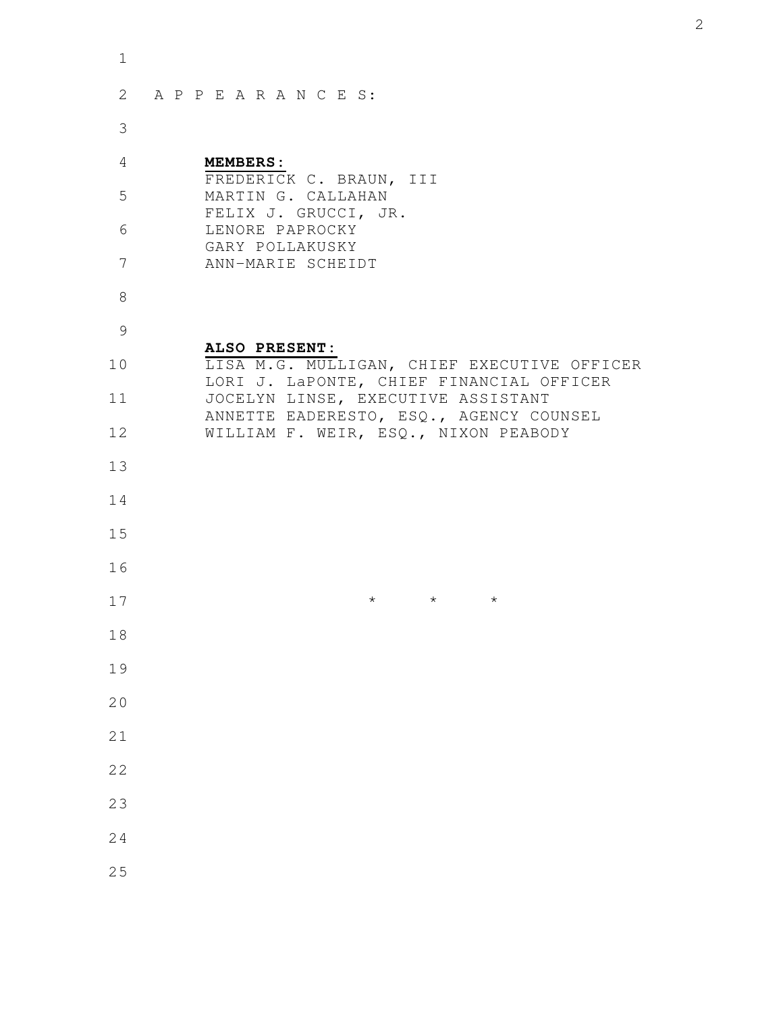| $\mathbf 1$ |                                                                                         |
|-------------|-----------------------------------------------------------------------------------------|
| 2           | APPEARANCES:                                                                            |
| 3           |                                                                                         |
| 4           | <b>MEMBERS:</b><br>FREDERICK C. BRAUN, III                                              |
| 5           | MARTIN G. CALLAHAN<br>FELIX J. GRUCCI, JR.                                              |
| 6           | LENORE PAPROCKY<br>GARY POLLAKUSKY                                                      |
| 7           | ANN-MARIE SCHEIDT                                                                       |
| 8           |                                                                                         |
| 9           | ALSO PRESENT:                                                                           |
| 10          | LISA M.G. MULLIGAN, CHIEF EXECUTIVE OFFICER<br>LORI J. LaPONTE, CHIEF FINANCIAL OFFICER |
| 11          | JOCELYN LINSE, EXECUTIVE ASSISTANT<br>ANNETTE EADERESTO, ESQ., AGENCY COUNSEL           |
| 12          | WILLIAM F. WEIR, ESQ., NIXON PEABODY                                                    |
| 13          |                                                                                         |
| 14          |                                                                                         |
| 15          |                                                                                         |
| 16          |                                                                                         |
| 17          | $\star$<br>$\star$<br>$^\star$                                                          |
| 18          |                                                                                         |
| 19          |                                                                                         |
| 20          |                                                                                         |
| 21          |                                                                                         |
| 22          |                                                                                         |
| 23          |                                                                                         |
| 24          |                                                                                         |
| 25          |                                                                                         |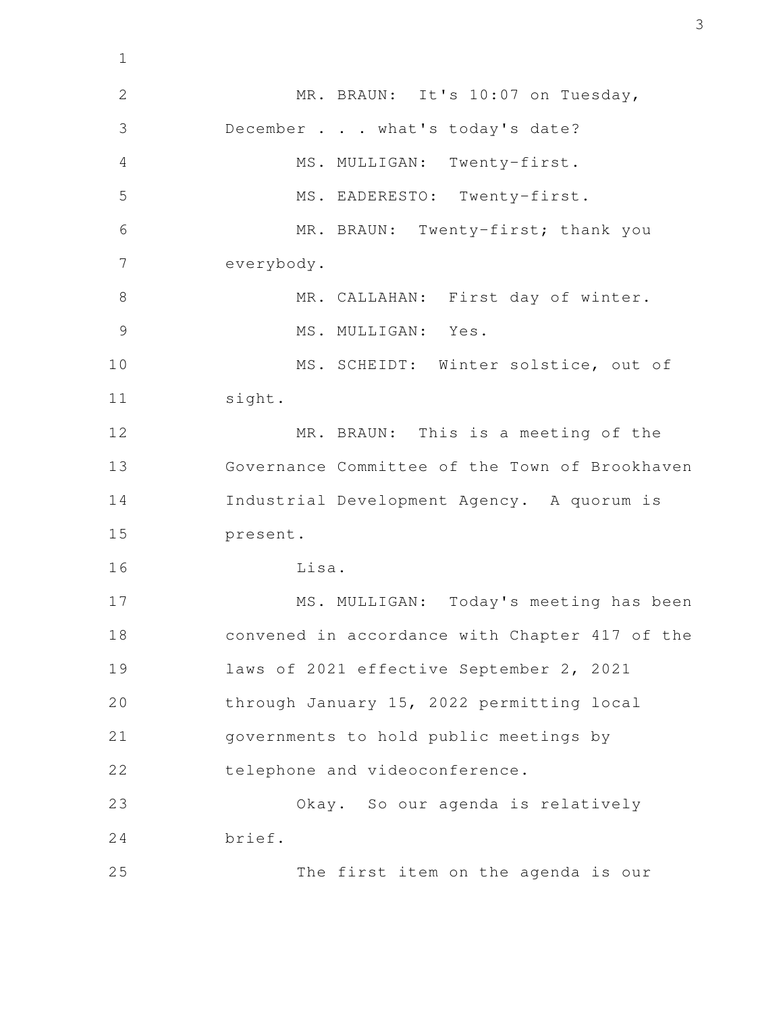MR. BRAUN: It's 10:07 on Tuesday, December . . . what's today's date? MS. MULLIGAN: Twenty-first. MS. EADERESTO: Twenty-first. MR. BRAUN: Twenty-first; thank you everybody. MR. CALLAHAN: First day of winter. MS. MULLIGAN: Yes. MS. SCHEIDT: Winter solstice, out of sight. MR. BRAUN: This is a meeting of the Governance Committee of the Town of Brookhaven Industrial Development Agency. A quorum is present. Lisa. MS. MULLIGAN: Today's meeting has been convened in accordance with Chapter 417 of the laws of 2021 effective September 2, 2021 through January 15, 2022 permitting local governments to hold public meetings by telephone and videoconference. Okay. So our agenda is relatively brief. The first item on the agenda is our 1 2 3 4 5 6 7 8 9 10 11 12 13 14 15 16 17 18 19 20 21 22 23 24 25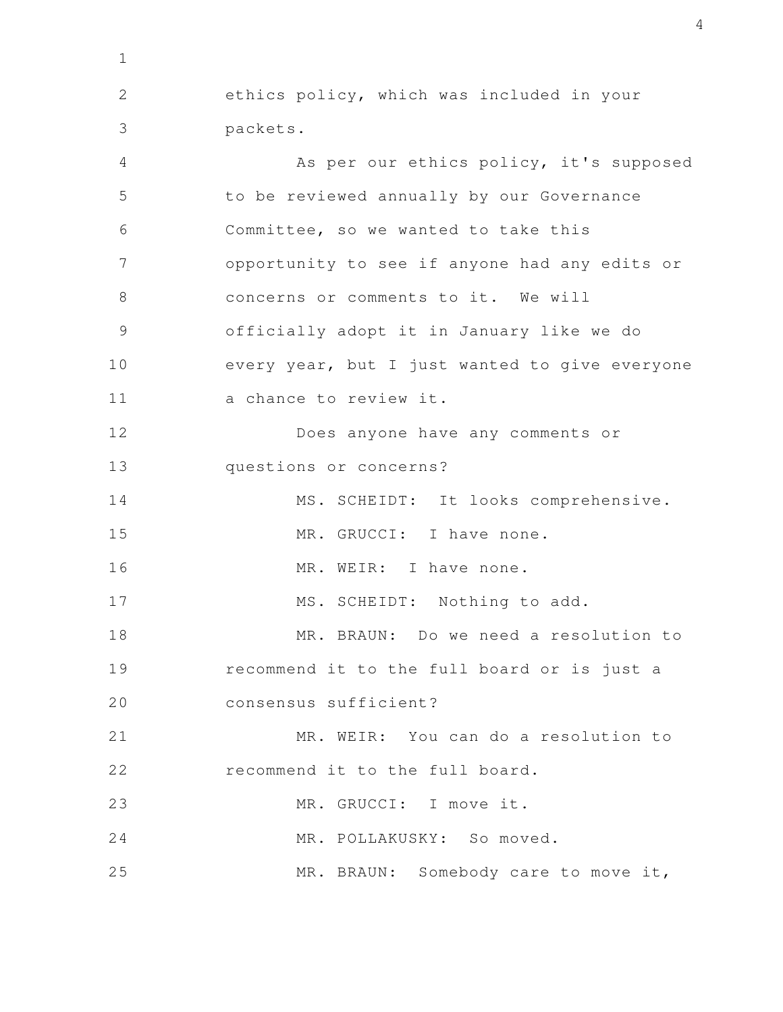ethics policy, which was included in your packets. As per our ethics policy, it's supposed to be reviewed annually by our Governance Committee, so we wanted to take this opportunity to see if anyone had any edits or concerns or comments to it. We will officially adopt it in January like we do every year, but I just wanted to give everyone a chance to review it. Does anyone have any comments or questions or concerns? MS. SCHEIDT: It looks comprehensive. MR. GRUCCI: I have none. MR. WEIR: I have none. MS. SCHEIDT: Nothing to add. MR. BRAUN: Do we need a resolution to recommend it to the full board or is just a consensus sufficient? MR. WEIR: You can do a resolution to recommend it to the full board. MR. GRUCCI: I move it. MR. POLLAKUSKY: So moved. MR. BRAUN: Somebody care to move it, 1 2 3 4 5 6 7 8 9 10 11 12 13 14 15 16 17 18 19 20 21 22 23 24 25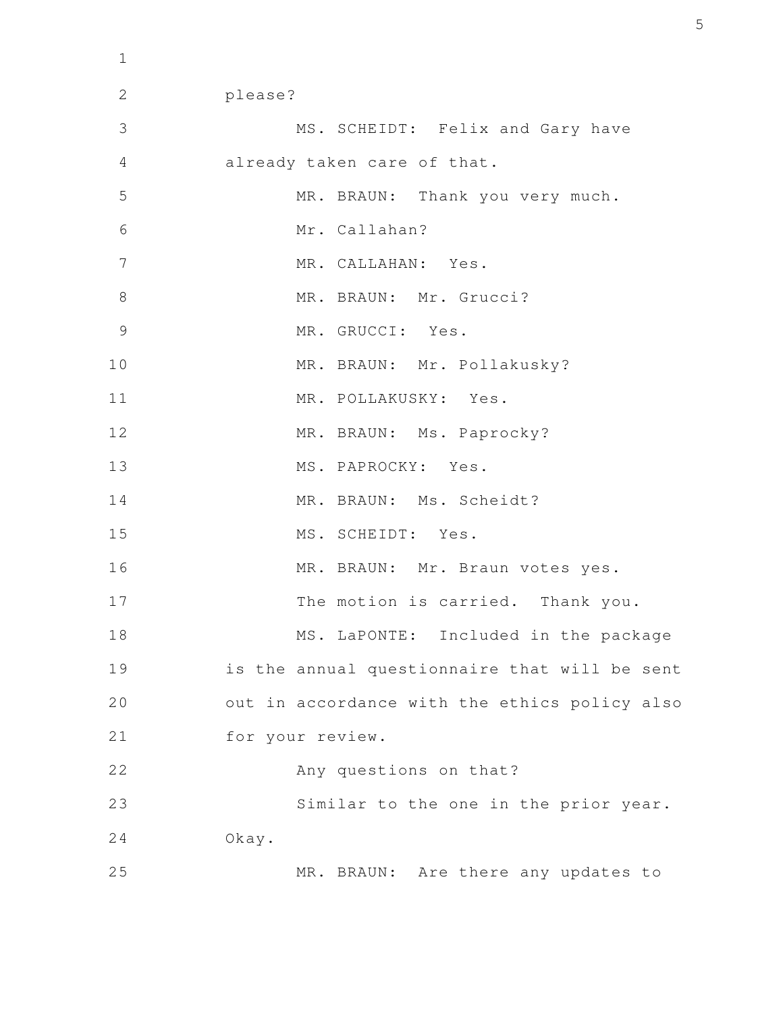please? MS. SCHEIDT: Felix and Gary have already taken care of that. MR. BRAUN: Thank you very much. Mr. Callahan? MR. CALLAHAN: Yes. MR. BRAUN: Mr. Grucci? MR. GRUCCI: Yes. MR. BRAUN: Mr. Pollakusky? MR. POLLAKUSKY: Yes. MR. BRAUN: Ms. Paprocky? MS. PAPROCKY: Yes. MR. BRAUN: Ms. Scheidt? MS. SCHEIDT: Yes. MR. BRAUN: Mr. Braun votes yes. The motion is carried. Thank you. MS. LaPONTE: Included in the package is the annual questionnaire that will be sent out in accordance with the ethics policy also for your review. Any questions on that? Similar to the one in the prior year. Okay. MR. BRAUN: Are there any updates to 2 3 4 5 6 7 8 9 10 11 12 13 14 15 16 17 18 19 20 21 22 23 24 25

1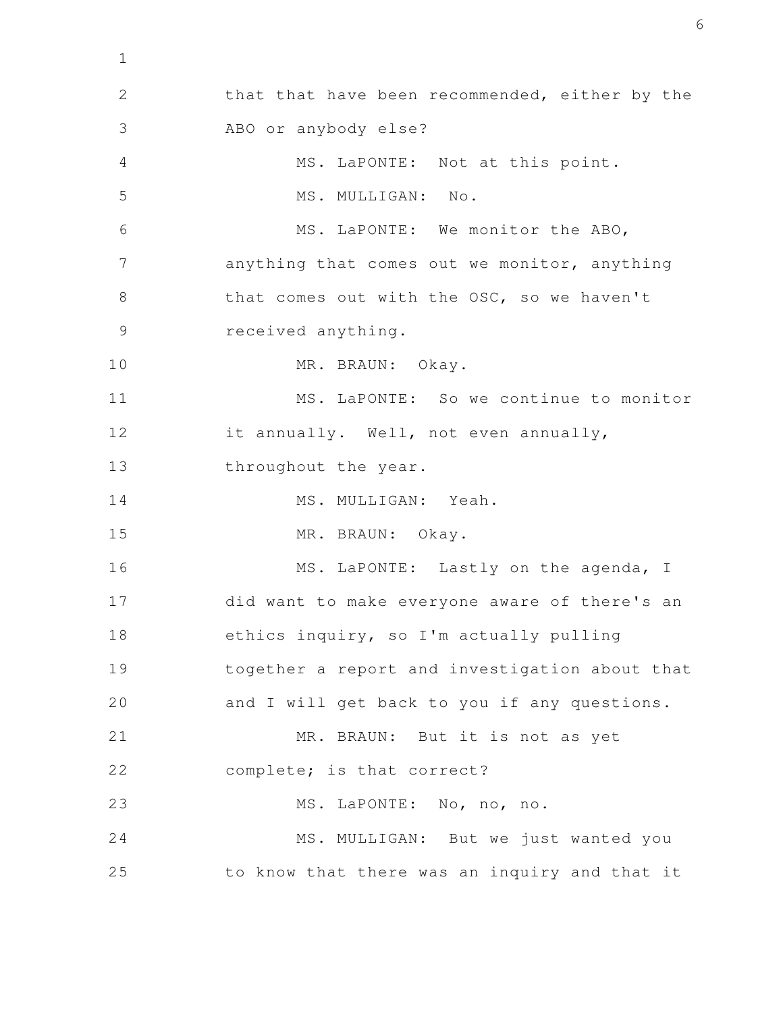that that have been recommended, either by the ABO or anybody else? MS. LaPONTE: Not at this point. MS. MULLIGAN: No. MS. LaPONTE: We monitor the ABO, anything that comes out we monitor, anything that comes out with the OSC, so we haven't received anything. MR. BRAUN: Okay. MS. LaPONTE: So we continue to monitor it annually. Well, not even annually, throughout the year. MS. MULLIGAN: Yeah. MR. BRAUN: Okay. MS. LaPONTE: Lastly on the agenda, I did want to make everyone aware of there's an ethics inquiry, so I'm actually pulling together a report and investigation about that and I will get back to you if any questions. MR. BRAUN: But it is not as yet complete; is that correct? MS. LaPONTE: No, no, no. MS. MULLIGAN: But we just wanted you to know that there was an inquiry and that it 2 3 4 5 6 7 8 9 10 11 12 13 14 15 16 17 18 19 20 21 22 23 24 25

1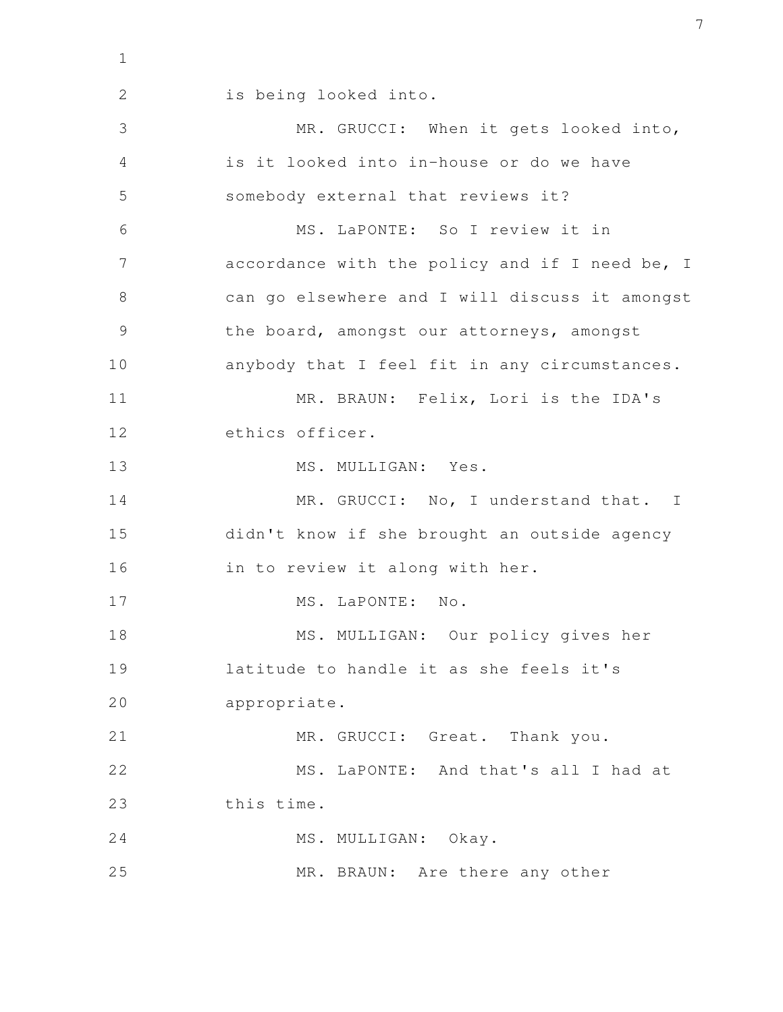2

is being looked into.

MR. GRUCCI: When it gets looked into, is it looked into in-house or do we have somebody external that reviews it? MS. LaPONTE: So I review it in accordance with the policy and if I need be, I can go elsewhere and I will discuss it amongst the board, amongst our attorneys, amongst anybody that I feel fit in any circumstances. MR. BRAUN: Felix, Lori is the IDA's ethics officer. MS. MULLIGAN: Yes. MR. GRUCCI: No, I understand that. I didn't know if she brought an outside agency in to review it along with her. MS. LaPONTE: No. MS. MULLIGAN: Our policy gives her latitude to handle it as she feels it's appropriate. MR. GRUCCI: Great. Thank you. MS. LaPONTE: And that's all I had at this time. MS. MULLIGAN: Okay. MR. BRAUN: Are there any other 3 4 5 6 7 8 9 10 11 12 13 14 15 16 17 18 19 20 21 22 23 24 25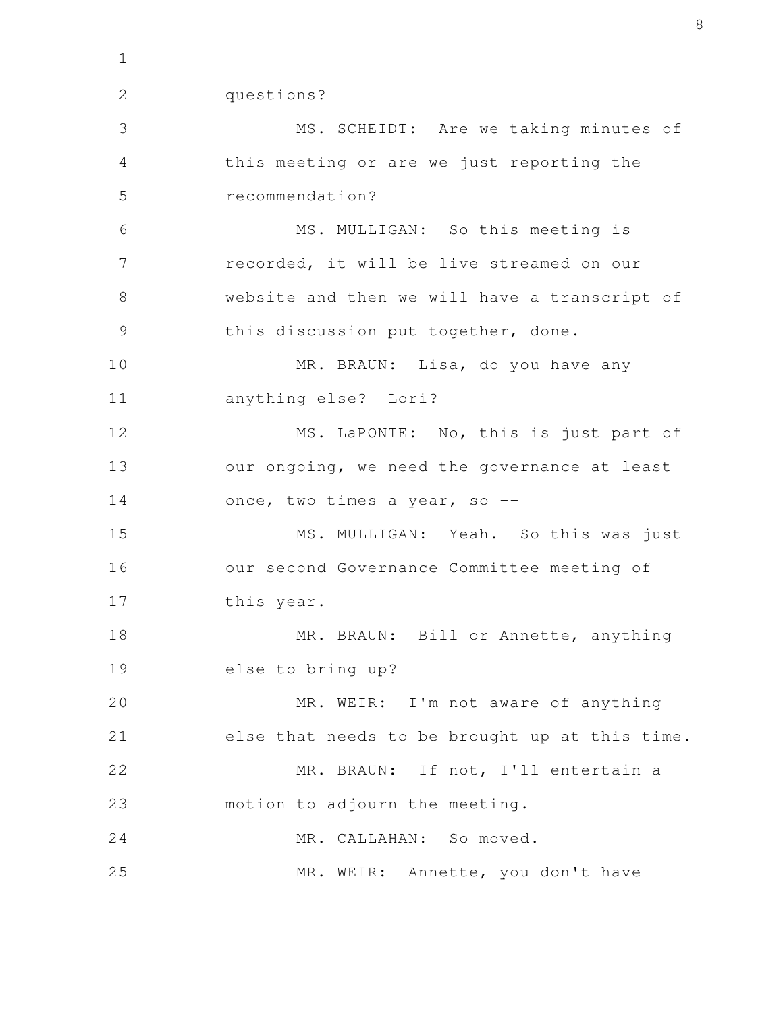2

questions?

MS. SCHEIDT: Are we taking minutes of this meeting or are we just reporting the recommendation? MS. MULLIGAN: So this meeting is recorded, it will be live streamed on our website and then we will have a transcript of this discussion put together, done. MR. BRAUN: Lisa, do you have any anything else? Lori? MS. LaPONTE: No, this is just part of our ongoing, we need the governance at least once, two times a year, so --MS. MULLIGAN: Yeah. So this was just our second Governance Committee meeting of this year. MR. BRAUN: Bill or Annette, anything else to bring up? MR. WEIR: I'm not aware of anything else that needs to be brought up at this time. MR. BRAUN: If not, I'll entertain a motion to adjourn the meeting. MR. CALLAHAN: So moved. MR. WEIR: Annette, you don't have 3 4 5 6 7 8 9 10 11 12 13 14 15 16 17 18 19 20 21 22 23 24 25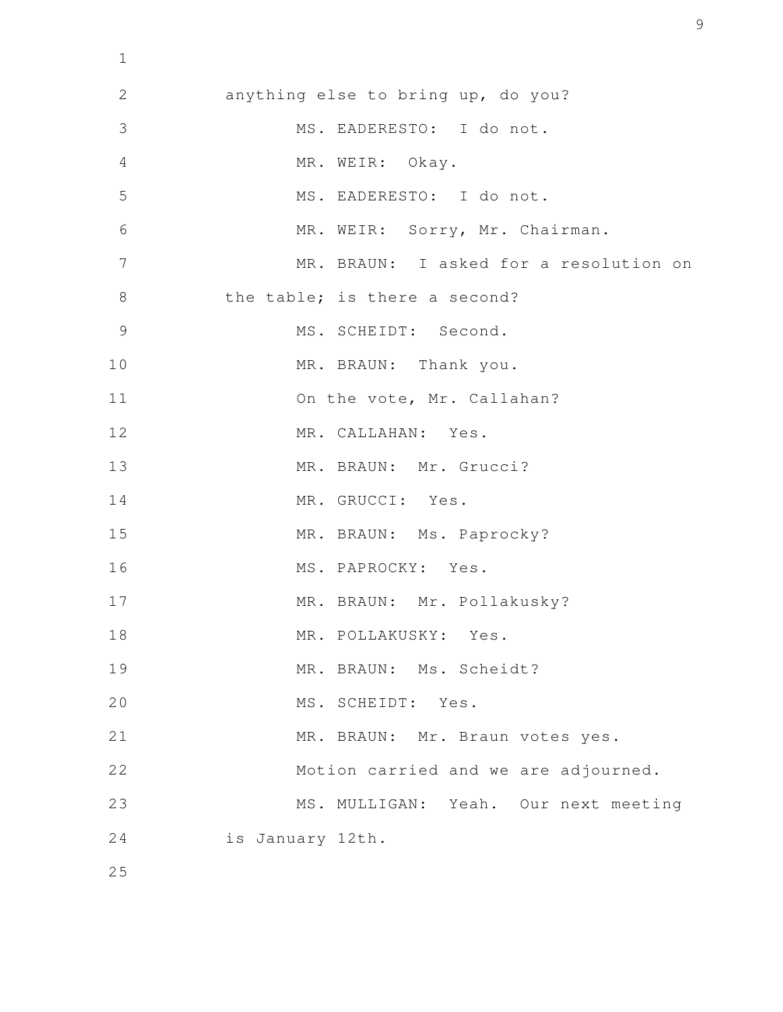anything else to bring up, do you? MS. EADERESTO: I do not. MR. WEIR: Okay. MS. EADERESTO: I do not. MR. WEIR: Sorry, Mr. Chairman. MR. BRAUN: I asked for a resolution on the table; is there a second? MS. SCHEIDT: Second. MR. BRAUN: Thank you. On the vote, Mr. Callahan? MR. CALLAHAN: Yes. MR. BRAUN: Mr. Grucci? MR. GRUCCI: Yes. MR. BRAUN: Ms. Paprocky? MS. PAPROCKY: Yes. MR. BRAUN: Mr. Pollakusky? MR. POLLAKUSKY: Yes. MR. BRAUN: Ms. Scheidt? MS. SCHEIDT: Yes. MR. BRAUN: Mr. Braun votes yes. Motion carried and we are adjourned. MS. MULLIGAN: Yeah. Our next meeting is January 12th. 2 3 4 5 6 7 8 9 10 11 12 13 14 15 16 17 18 19 20 21 22 23 24 25

1